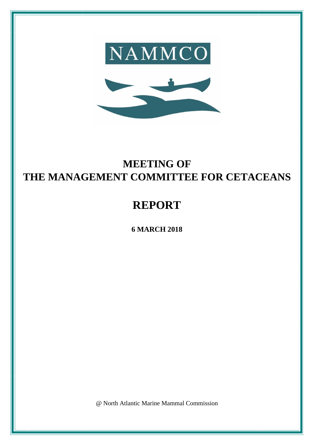



# **MEETING OF THE MANAGEMENT COMMITTEE FOR CETACEANS**

# **REPORT**

**6 MARCH 2018**

@ North Atlantic Marine Mammal Commission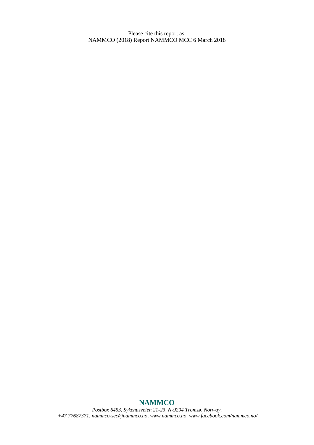Please cite this report as: NAMMCO (2018) Report NAMMCO MCC 6 March 2018

# **NAMMCO**

*Postbox 6453, Sykehusveien 21-23, N-9294 Tromsø, Norway, +47 77687371, [nammco-sec@nammco.no,](mailto:nammco-sec@nammco.no) [www.nammco.no,](http://www.nammco.no/) [www.facebook.com/nammco.no/](http://www.facebook.com/nammco.no/)*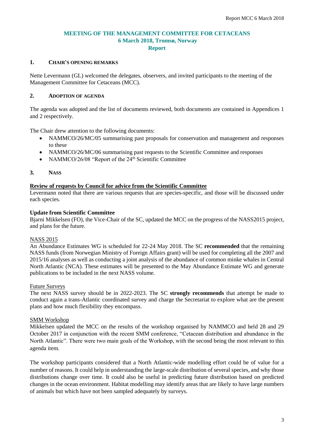## **MEETING OF THE MANAGEMENT COMMITTEE FOR CETACEANS 6 March 2018, Tromsø, Norway Report**

## **1. CHAIR'S OPENING REMARKS**

Nette Levermann (GL) welcomed the delegates, observers, and invited participants to the meeting of the Management Committee for Cetaceans (MCC).

## **2. ADOPTION OF AGENDA**

The agenda was adopted and the list of documents reviewed, both documents are contained in Appendices 1 and 2 respectively.

The Chair drew attention to the following documents:

- NAMMCO/26/MC/05 summarising past proposals for conservation and management and responses to these
- NAMMCO/26/MC/06 summarising past requests to the Scientific Committee and responses
- NAMMCO/26/08 "Report of the  $24<sup>th</sup>$  Scientific Committee

#### **3. NASS**

## **Review of requests by Council for advice from the Scientific Committee**

Levermann noted that there are various requests that are species-specific, and those will be discussed under each species.

#### **Update from Scientific Committee**

Bjarni Mikkelsen (FO), the Vice-Chair of the SC, updated the MCC on the progress of the NASS2015 project, and plans for the future.

#### NASS 2015

An Abundance Estimates WG is scheduled for 22-24 May 2018. The SC **recommended** that the remaining NASS funds (from Norwegian Ministry of Foreign Affairs grant) will be used for completing all the 2007 and 2015/16 analyses as well as conducting a joint analysis of the abundance of common minke whales in Central North Atlantic (NCA). These estimates will be presented to the May Abundance Estimate WG and generate publications to be included in the next NASS volume.

#### Future Surveys

The next NASS survey should be in 2022-2023. The SC **strongly recommends** that attempt be made to conduct again a trans-Atlantic coordinated survey and charge the Secretariat to explore what are the present plans and how much flexibility they encompass.

#### SMM Workshop

Mikkelsen updated the MCC on the results of the workshop organised by NAMMCO and held 28 and 29 October 2017 in conjunction with the recent SMM conference, "Cetacean distribution and abundance in the North Atlantic". There were two main goals of the Workshop, with the second being the most relevant to this agenda item.

The workshop participants considered that a North Atlantic-wide modelling effort could be of value for a number of reasons. It could help in understanding the large-scale distribution of several species, and why those distributions change over time. It could also be useful in predicting future distribution based on predicted changes in the ocean environment. Habitat modelling may identify areas that are likely to have large numbers of animals but which have not been sampled adequately by surveys.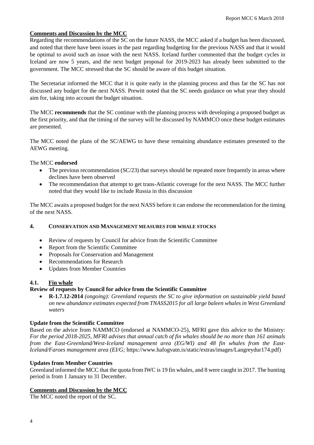## **Comments and Discussion by the MCC**

Regarding the recommendations of the SC on the future NASS, the MCC asked if a budget has been discussed, and noted that there have been issues in the past regarding budgeting for the previous NASS and that it would be optimal to avoid such an issue with the next NASS. Iceland further commented that the budget cycles in Iceland are now 5 years, and the next budget proposal for 2019-2023 has already been submitted to the government. The MCC stressed that the SC should be aware of this budget situation.

The Secretariat informed the MCC that it is quite early in the planning process and thus far the SC has not discussed any budget for the next NASS. Prewitt noted that the SC needs guidance on what year they should aim for, taking into account the budget situation.

The MCC **recommends** that the SC continue with the planning process with developing a proposed budget as the first priority, and that the timing of the survey will be discussed by NAMMCO once these budget estimates are presented.

The MCC noted the plans of the SC/AEWG to have these remaining abundance estimates presented to the AEWG meeting.

## The MCC **endorsed**

- The previous recommendation (SC/23) that surveys should be repeated more frequently in areas where declines have been observed
- The recommendation that attempt to get trans-Atlantic coverage for the next NASS. The MCC further noted that they would like to include Russia in this discussion

The MCC awaits a proposed budget for the next NASS before it can endorse the recommendation for the timing of the next NASS.

## **4. CONSERVATION AND MANAGEMENT MEASURES FOR WHALE STOCKS**

- Review of requests by Council for advice from the Scientific Committee
- Report from the Scientific Committee
- Proposals for Conservation and Management
- Recommendations for Research
- Updates from Member Countries

## **4.1. Fin whale**

## **Review of requests by Council for advice from the Scientific Committee**

• **R-1.7.12-2014** *(ongoing): Greenland requests the SC to give information on sustainable yield based on new abundance estimates expected from TNASS2015 for all large baleen whales in West Greenland waters*

## **Update from the Scientific Committee**

Based on the advice from NAMMCO (endorsed at NAMMCO-25), MFRI gave this advice to the Ministry: *For the period 2018-2025, MFRI advises that annual catch of fin whales should be no more than 161 animals from the East-Greenland/West-Iceland management area (EG/WI) and 48 fin whales from the East-Iceland/Faroes management area (EI/G;* https://www.hafogvatn.is/static/extras/images/Langreydur174.pdf)

## **Updates from Member Countries**

Greenland informed the MCC that the quota from IWC is 19 fin whales, and 8 were caught in 2017. The hunting period is from 1 January to 31 December.

## **Comments and Discussion by the MCC**

The MCC noted the report of the SC.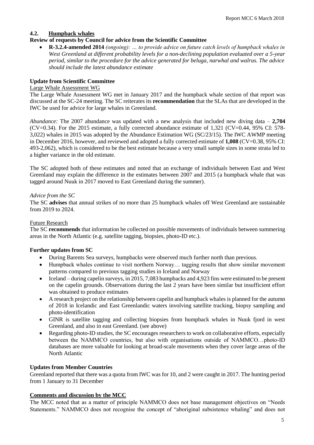## **4.2. Humpback whales**

## **Review of requests by Council for advice from the Scientific Committee**

• **R-3.2.4-amended 2014** *(ongoing): … to provide advice on future catch levels of humpback whales in West Greenland at different probability levels for a non-declining population evaluated over a 5-year period, similar to the procedure for the advice generated for beluga, narwhal and walrus. The advice should include the latest abundance estimate*

## **Update from Scientific Committee**

#### Large Whale Assessment WG

The Large Whale Assessment WG met in January 2017 and the humpback whale section of that report was discussed at the SC-24 meeting. The SC reiterates its **recommendation** that the SLAs that are developed in the IWC be used for advice for large whales in Greenland.

*Abundance:* The 2007 abundance was updated with a new analysis that included new diving data – **2,704** (CV=0.34). For the 2015 estimate, a fully corrected abundance estimate of 1,321 (CV=0.44, 95% CI: 578- 3,022) whales in 2015 was adopted by the Abundance Estimation WG (SC/23/15). The IWC AWMP meeting in December 2016, however, and reviewed and adopted a fully corrected estimate of **1,008** (CV=0.38, 95% CI: 493-2,062), which is considered to be the best estimate because a very small sample sizes in some strata led to a higher variance in the old estimate.

The SC adopted both of these estimates and noted that an exchange of individuals between East and West Greenland may explain the difference in the estimates between 2007 and 2015 (a humpback whale that was tagged around Nuuk in 2017 moved to East Greenland during the summer).

## *Advice from the SC*

The SC **advises** that annual strikes of no more than 25 humpback whales off West Greenland are sustainable from 2019 to 2024.

## Future Research

The SC **recommends** that information be collected on possible movements of individuals between summering areas in the North Atlantic (e.g. satellite tagging, biopsies, photo-ID etc.).

## **Further updates from SC**

- During Barents Sea surveys, humpbacks were observed much further north than previous.
- Humpback whales continue to visit northern Norway... tagging results that show similar movement patterns compared to previous tagging studies in Iceland and Norway
- Iceland during capelin surveys, in 2015, 7,083 humpbacks and 4,923 fins were estimated to be present on the capelin grounds. Observations during the last 2 years have been similar but insufficient effort was obtained to produce estimates
- A research project on the relationship between capelin and humpback whales is planned for the autumn of 2018 in Icelandic and East Greenlandic waters involving satellite tracking, biopsy sampling and photo-identification
- GINR is satellite tagging and collecting biopsies from humpback whales in Nuuk fjord in west Greenland, and also in east Greenland. (see above)
- Regarding photo-ID studies, the SC encourages researchers to work on collaborative efforts, especially between the NAMMCO countries, but also with organisations outside of NAMMCO…photo-ID databases are more valuable for looking at broad-scale movements when they cover large areas of the North Atlantic

## **Updates from Member Countries**

Greenland reported that there was a quota from IWC was for 10, and 2 were caught in 2017. The hunting period from 1 January to 31 December

## **Comments and discussion by the MCC**

The MCC noted that as a matter of principle NAMMCO does not base management objectives on "Needs Statements." NAMMCO does not recognise the concept of "aboriginal subsistence whaling" and does not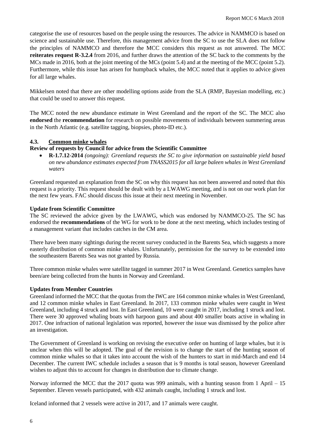categorise the use of resources based on the people using the resources. The advice in NAMMCO is based on science and sustainable use. Therefore, this management advice from the SC to use the SLA does not follow the principles of NAMMCO and therefore the MCC considers this request as not answered. The MCC **reiterates request R-3.2.4** from 2016, and further draws the attention of the SC back to the comments by the MCs made in 2016, both at the joint meeting of the MCs (point 5.4) and at the meeting of the MCC (point 5.2). Furthermore, while this issue has arisen for humpback whales, the MCC noted that it applies to advice given for all large whales.

Mikkelsen noted that there are other modelling options aside from the SLA (RMP, Bayesian modelling, etc.) that could be used to answer this request.

The MCC noted the new abundance estimate in West Greenland and the report of the SC. The MCC also **endorsed** the **recommendation** for research on possible movements of individuals between summering areas in the North Atlantic (e.g. satellite tagging, biopsies, photo-ID etc.).

## **4.3. Common minke whales**

## **Review of requests by Council for advice from the Scientific Committee**

• **R-1.7.12***-***2014** *(ongoing): Greenland requests the SC to give information on sustainable yield based on new abundance estimates expected from TNASS2015 for all large baleen whales in West Greenland waters* 

Greenland requested an explanation from the SC on why this request has not been answered and noted that this request is a priority. This request should be dealt with by a LWAWG meeting, and is not on our work plan for the next few years. FAC should discuss this issue at their next meeting in November.

## **Update from Scientific Committee**

The SC reviewed the advice given by the LWAWG, which was endorsed by NAMMCO-25. The SC has endorsed the **recommendations** of the WG for work to be done at the next meeting, which includes testing of a management variant that includes catches in the CM area.

There have been many sightings during the recent survey conducted in the Barents Sea, which suggests a more easterly distribution of common minke whales. Unfortunately, permission for the survey to be extended into the southeastern Barents Sea was not granted by Russia.

Three common minke whales were satellite tagged in summer 2017 in West Greenland. Genetics samples have been/are being collected from the hunts in Norway and Greenland.

## **Updates from Member Countries**

Greenland informed the MCC that the quotas from the IWC are 164 common minke whales in West Greenland, and 12 common minke whales in East Greenland. In 2017, 133 common minke whales were caught in West Greenland, including 4 struck and lost. In East Greenland, 10 were caught in 2017, including 1 struck and lost. There were 30 approved whaling boats with harpoon guns and about 400 smaller boats active in whaling in 2017. One infraction of national legislation was reported, however the issue was dismissed by the police after an investigation.

The Government of Greenland is working on revising the executive order on hunting of large whales, but it is unclear when this will be adopted. The goal of the revision is to change the start of the hunting season of common minke whales so that it takes into account the wish of the hunters to start in mid-March and end 14 December. The current IWC schedule includes a season that is 9 months is total season, however Greenland wishes to adjust this to account for changes in distribution due to climate change.

Norway informed the MCC that the 2017 quota was 999 animals, with a hunting season from 1 April – 15 September. Eleven vessels participated, with 432 animals caught, including 1 struck and lost.

Iceland informed that 2 vessels were active in 2017, and 17 animals were caught.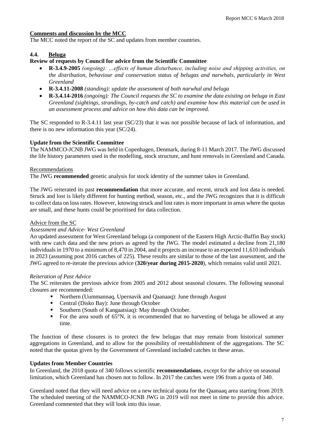## **Comments and discussion by the MCC**

The MCC noted the report of the SC and updates from member countries.

## **4.4. Beluga**

## **Review of requests by Council for advice from the Scientific Committee**

- **R-3.4.9-2005** *(ongoing): …effects of human disturbance, including noise and shipping activities, on the distribution, behaviour and conservation status of belugas and narwhals, particularly in West Greenland*
- **R-3.4.11-2008** *(standing): update the assessment of both narwhal and beluga*
- **R-3.4.14-2016** *(ongoing): The Council requests the SC to examine the data existing on beluga in East Greenland (sightings, strandings, by-catch and catch) and examine how this material can be used in an assessment process and advice on how this data can be improved.*

The SC responded to R-3.4.11 last year (SC/23) that it was not possible because of lack of information, and there is no new information this year (SC/24).

## **Update from the Scientific Committee**

The NAMMCO-JCNB JWG was held in Copenhagen, Denmark, during 8-11 March 2017. The JWG discussed the life history parameters used in the modelling, stock structure, and hunt removals in Greenland and Canada.

#### **Recommendations**

The JWG **recommended** genetic analysis for stock identity of the summer takes in Greenland.

The JWG reiterated its past **recommendation** that more accurate, and recent, struck and lost data is needed. Struck and lost is likely different for hunting method, season, etc., and the JWG recognizes that it is difficult to collect data on loss rates. However, knowing struck and lost rates is more important in areas where the quotas are small, and these hunts could be prioritised for data collection.

## Advice from the SC

## *Assessment and Advice- West Greenland*

An updated assessment for West Greenland beluga (a component of the Eastern High Arctic-Baffin Bay stock) with new catch data and the new priors as agreed by the JWG. The model estimated a decline from 21,180 individuals in 1970 to a minimum of 8,470 in 2004, and it projects an increase to an expected 11,610 individuals in 2023 (assuming post 2016 catches of 225). These results are similar to those of the last assessment, and the JWG agreed to re-iterate the previous advice (**320/year during 2015-2020**), which remains valid until 2021.

## *Reiteration of Past Advice*

The SC reiterates the previous advice from 2005 and 2012 about seasonal closures. The following seasonal closures are recommended:

- Northern (Uummannaq, Upernavik and Qaanaaq): June through August
- Central (Disko Bay): June through October
- Southern (South of Kangaatsiaq): May through October.
- For the area south of 65°N, it is recommended that no harvesting of beluga be allowed at any time.

The function of these closures is to protect the few belugas that may remain from historical summer aggregations in Greenland, and to allow for the possibility of reestablishment of the aggregations. The SC noted that the quotas given by the Government of Greenland included catches in these areas.

## **Updates from Member Countries**

In Greenland, the 2018 quota of 340 follows scientific **recommendations**, except for the advice on seasonal limitation, which Greenland has chosen not to follow. In 2017 the catches were 196 from a quota of 340.

Greenland noted that they will need advice on a new technical quota for the Qaanaaq area starting from 2019. The scheduled meeting of the NAMMCO-JCNB JWG in 2019 will not meet in time to provide this advice. Greenland commented that they will look into this issue.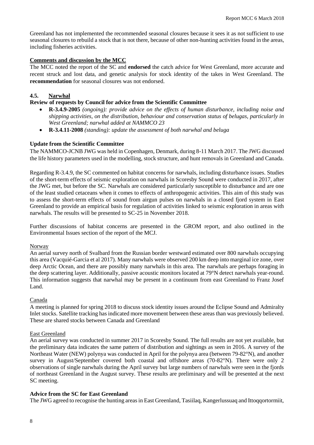Greenland has not implemented the recommended seasonal closures because it sees it as not sufficient to use seasonal closures to rebuild a stock that is not there, because of other non-hunting activities found in the areas, including fisheries activities.

## **Comments and discussion by the MCC**

The MCC noted the report of the SC and **endorsed** the catch advice for West Greenland, more accurate and recent struck and lost data, and genetic analysis for stock identity of the takes in West Greenland. The **recommendation** for seasonal closures was not endorsed.

## **4.5. Narwhal**

## **Review of requests by Council for advice from the Scientific Committee**

- **R-3.4.9-2005** *(ongoing): provide advice on the effects of human disturbance, including noise and shipping activities, on the distribution, behaviour and conservation status of belugas, particularly in West Greenland; narwhal added at NAMMCO 23*
- **R-3.4.11-2008** *(standing): update the assessment of both narwhal and beluga*

## **Update from the Scientific Committee**

The NAMMCO-JCNB JWG was held in Copenhagen, Denmark, during 8-11 March 2017. The JWG discussed the life history parameters used in the modelling, stock structure, and hunt removals in Greenland and Canada.

Regarding R-3.4.9, the SC commented on habitat concerns for narwhals, including disturbance issues. Studies of the short-term effects of seismic exploration on narwhals in Scoresby Sound were conducted in 2017, after the JWG met, but before the SC. Narwhals are considered particularly susceptible to disturbance and are one of the least studied cetaceans when it comes to effects of anthropogenic activities. This aim of this study was to assess the short-term effects of sound from airgun pulses on narwhals in a closed fjord system in East Greenland to provide an empirical basis for regulation of activities linked to seismic exploration in areas with narwhals. The results will be presented to SC-25 in November 2018.

Further discussions of habitat concerns are presented in the GROM report, and also outlined in the Environmental Issues section of the report of the MCJ.

## Norway

An aerial survey north of Svalbard from the Russian border westward estimated over 800 narwhals occupying this area (Vacquié-Garcia et al 2017). Many narwhals were observed 200 km deep into marginal ice zone, over deep Arctic Ocean, and there are possibly many narwhals in this area. The narwhals are perhaps foraging in the deep scattering layer. Additionally, passive acoustic monitors located at 79°N detect narwhals year-round. This information suggests that narwhal may be present in a continuum from east Greenland to Franz Josef Land.

## Canada

A meeting is planned for spring 2018 to discuss stock identity issues around the Eclipse Sound and Admiralty Inlet stocks. Satellite tracking has indicated more movement between these areas than was previously believed. These are shared stocks between Canada and Greenland

## East Greenland

An aerial survey was conducted in summer 2017 in Scoresby Sound. The full results are not yet available, but the preliminary data indicates the same pattern of distribution and sightings as seen in 2016. A survey of the Northeast Water (NEW) polynya was conducted in April for the polynya area (between 79-82°N), and another survey in August/September covered both coastal and offshore areas (70-82°N). There were only 2 observations of single narwhals during the April survey but large numbers of narwhals were seen in the fjords of northeast Greenland in the August survey. These results are preliminary and will be presented at the next SC meeting.

## **Advice from the SC for East Greenland**

The JWG agreed to recognise the hunting areas in East Greenland, Tasiilaq, Kangerlussuaq and Ittoqqortormiit,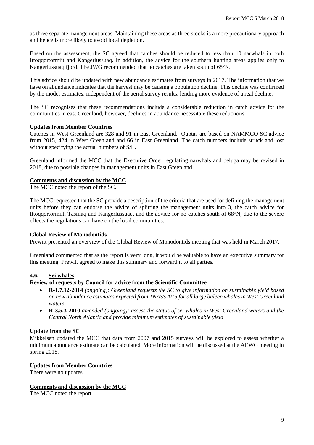as three separate management areas. Maintaining these areas as three stocks is a more precautionary approach and hence is more likely to avoid local depletion.

Based on the assessment, the SC agreed that catches should be reduced to less than 10 narwhals in both Ittoqqortormiit and Kangerlussuaq. In addition, the advice for the southern hunting areas applies only to Kangerlussuaq fjord. The JWG recommended that no catches are taken south of 68°N.

This advice should be updated with new abundance estimates from surveys in 2017. The information that we have on abundance indicates that the harvest may be causing a population decline. This decline was confirmed by the model estimates, independent of the aerial survey results, lending more evidence of a real decline.

The SC recognises that these recommendations include a considerable reduction in catch advice for the communities in east Greenland, however, declines in abundance necessitate these reductions.

#### **Updates from Member Countries**

Catches in West Greenland are 328 and 91 in East Greenland. Quotas are based on NAMMCO SC advice from 2015, 424 in West Greenland and 66 in East Greenland. The catch numbers include struck and lost without specifying the actual numbers of S/L.

Greenland informed the MCC that the Executive Order regulating narwhals and beluga may be revised in 2018, due to possible changes in management units in East Greenland.

#### **Comments and discussion by the MCC**

The MCC noted the report of the SC.

The MCC requested that the SC provide a description of the criteria that are used for defining the management units before they can endorse the advice of splitting the management units into 3, the catch advice for Ittoqqortormiit, Tasiilaq and Kangerlussuaq, and the advice for no catches south of 68°N, due to the severe effects the regulations can have on the local communities.

## **Global Review of Monodontids**

Prewitt presented an overview of the Global Review of Monodontids meeting that was held in March 2017.

Greenland commented that as the report is very long, it would be valuable to have an executive summary for this meeting. Prewitt agreed to make this summary and forward it to all parties.

#### **4.6. Sei whales**

#### **Review of requests by Council for advice from the Scientific Committee**

- **R-1.7.12-2014** *(ongoing): Greenland requests the SC to give information on sustainable yield based on new abundance estimates expected from TNASS2015 for all large baleen whales in West Greenland waters*
- **R-3.5.3-2010** *amended (ongoing): assess the status of sei whales in West Greenland waters and the Central North Atlantic and provide minimum estimates of sustainable yield*

## **Update from the SC**

Mikkelsen updated the MCC that data from 2007 and 2015 surveys will be explored to assess whether a minimum abundance estimate can be calculated. More information will be discussed at the AEWG meeting in spring 2018.

## **Updates from Member Countries**

There were no updates.

## **Comments and discussion by the MCC**

The MCC noted the report.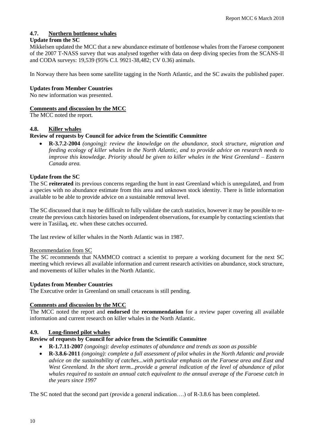## **4.7. Northern bottlenose whales**

## **Update from the SC**

Mikkelsen updated the MCC that a new abundance estimate of bottlenose whales from the Faroese component of the 2007 T-NASS survey that was analysed together with data on deep diving species from the SCANS-II and CODA surveys: 19,539 (95% C.I. 9921-38,482; CV 0.36) animals.

In Norway there has been some satellite tagging in the North Atlantic, and the SC awaits the published paper.

## **Updates from Member Countries**

No new information was presented.

## **Comments and discussion by the MCC**

The MCC noted the report.

## **4.8. Killer whales**

## **Review of requests by Council for advice from the Scientific Committee**

• **R-3.7.2-2004** *(ongoing): review the knowledge on the abundance, stock structure, migration and feeding ecology of killer whales in the North Atlantic, and to provide advice on research needs to improve this knowledge. Priority should be given to killer whales in the West Greenland – Eastern Canada area.*

## **Update from the SC**

The SC **reiterated** its previous concerns regarding the hunt in east Greenland which is unregulated, and from a species with no abundance estimate from this area and unknown stock identity. There is little information available to be able to provide advice on a sustainable removal level.

The SC discussed that it may be difficult to fully validate the catch statistics, however it may be possible to recreate the previous catch histories based on independent observations, for example by contacting scientists that were in Tasiilaq, etc. when these catches occurred.

The last review of killer whales in the North Atlantic was in 1987.

## Recommendation from SC

The SC recommends that NAMMCO contract a scientist to prepare a working document for the next SC meeting which reviews all available information and current research activities on abundance, stock structure, and movements of killer whales in the North Atlantic.

## **Updates from Member Countries**

The Executive order in Greenland on small cetaceans is still pending.

## **Comments and discussion by the MCC**

The MCC noted the report and **endorsed** the **recommendation** for a review paper covering all available information and current research on killer whales in the North Atlantic.

## **4.9. Long-finned pilot whales**

## **Review of requests by Council for advice from the Scientific Committee**

- **R-1.7.11-2007** *(ongoing): develop estimates of abundance and trends as soon as possible*
- **R-3.8.6-2011** *(ongoing): complete a full assessment of pilot whales in the North Atlantic and provide advice on the sustainability of catches...with particular emphasis on the Faroese area and East and West Greenland. In the short term...provide a general indication of the level of abundance of pilot whales required to sustain an annual catch equivalent to the annual average of the Faroese catch in the years since 1997*

The SC noted that the second part (provide a general indication….) of R-3.8.6 has been completed.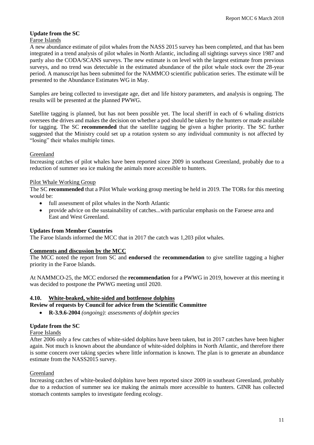## **Update from the SC**

#### Faroe Islands

A new abundance estimate of pilot whales from the NASS 2015 survey has been completed, and that has been integrated in a trend analysis of pilot whales in North Atlantic, including all sightings surveys since 1987 and partly also the CODA/SCANS surveys. The new estimate is on level with the largest estimate from previous surveys, and no trend was detectable in the estimated abundance of the pilot whale stock over the 28-year period. A manuscript has been submitted for the NAMMCO scientific publication series. The estimate will be presented to the Abundance Estimates WG in May.

Samples are being collected to investigate age, diet and life history parameters, and analysis is ongoing. The results will be presented at the planned PWWG.

Satellite tagging is planned, but has not been possible yet. The local sheriff in each of 6 whaling districts oversees the drives and makes the decision on whether a pod should be taken by the hunters or made available for tagging. The SC **recommended** that the satellite tagging be given a higher priority. The SC further suggested that the Ministry could set up a rotation system so any individual community is not affected by "losing" their whales multiple times.

## Greenland

Increasing catches of pilot whales have been reported since 2009 in southeast Greenland, probably due to a reduction of summer sea ice making the animals more accessible to hunters.

## Pilot Whale Working Group

The SC **recommended** that a Pilot Whale working group meeting be held in 2019. The TORs for this meeting would be:

- full assessment of pilot whales in the North Atlantic
- provide advice on the sustainability of catches...with particular emphasis on the Faroese area and East and West Greenland.

## **Updates from Member Countries**

The Faroe Islands informed the MCC that in 2017 the catch was 1,203 pilot whales.

## **Comments and discussion by the MCC**

The MCC noted the report from SC and **endorsed** the **recommendation** to give satellite tagging a higher priority in the Faroe Islands.

At NAMMCO-25, the MCC endorsed the **recommendation** for a PWWG in 2019, however at this meeting it was decided to postpone the PWWG meeting until 2020.

## **4.10. White-beaked, white-sided and bottlenose dolphins**

## **Review of requests by Council for advice from the Scientific Committee**

• **R-3.9.6-2004** *(ongoing): assessments of dolphin species*

## **Update from the SC**

## Faroe Islands

After 2006 only a few catches of white-sided dolphins have been taken, but in 2017 catches have been higher again. Not much is known about the abundance of white-sided dolphins in North Atlantic, and therefore there is some concern over taking species where little information is known. The plan is to generate an abundance estimate from the NASS2015 survey.

## Greenland

Increasing catches of white-beaked dolphins have been reported since 2009 in southeast Greenland, probably due to a reduction of summer sea ice making the animals more accessible to hunters. GINR has collected stomach contents samples to investigate feeding ecology.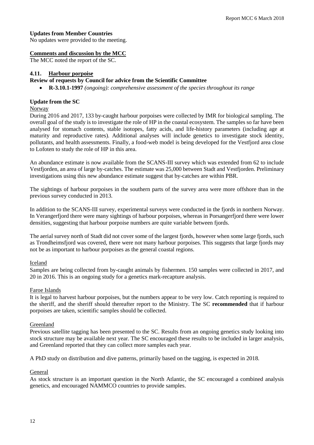## **Updates from Member Countries**

No updates were provided to the meeting.

## **Comments and discussion by the MCC**

The MCC noted the report of the SC.

## **4.11. Harbour porpoise**

## **Review of requests by Council for advice from the Scientific Committee**

• **R-3.10.1-1997** *(ongoing): comprehensive assessment of the species throughout its range*

## **Update from the SC**

#### Norway

During 2016 and 2017, 133 by-caught harbour porpoises were collected by IMR for biological sampling. The overall goal of the study is to investigate the role of HP in the coastal ecosystem. The samples so far have been analysed for stomach contents, stable isotopes, fatty acids, and life-history parameters (including age at maturity and reproductive rates). Additional analyses will include genetics to investigate stock identity, pollutants, and health assessments. Finally, a food-web model is being developed for the Vestfjord area close to Lofoten to study the role of HP in this area.

An abundance estimate is now available from the SCANS-III survey which was extended from 62 to include Vestfjorden, an area of large by-catches. The estimate was 25,000 between Stadt and Vestfjorden. Preliminary investigations using this new abundance estimate suggest that by-catches are within PBR.

The sightings of harbour porpoises in the southern parts of the survey area were more offshore than in the previous survey conducted in 2013.

In addition to the SCANS-III survey, experimental surveys were conducted in the fjords in northern Norway. In Verangerfjord there were many sightings of harbour porpoises, whereas in Porsangerfjord there were lower densities, suggesting that harbour porpoise numbers are quite variable between fjords.

The aerial survey north of Stadt did not cover some of the largest fjords, however when some large fjords, such as Trondheimsfjord was covered, there were not many harbour porpoises. This suggests that large fjords may not be as important to harbour porpoises as the general coastal regions.

## Iceland

Samples are being collected from by-caught animals by fishermen. 150 samples were collected in 2017, and 20 in 2016. This is an ongoing study for a genetics mark-recapture analysis.

## Faroe Islands

It is legal to harvest harbour porpoises, but the numbers appear to be very low. Catch reporting is required to the sheriff, and the sheriff should thereafter report to the Ministry. The SC **recommended** that if harbour porpoises are taken, scientific samples should be collected.

## **Greenland**

Previous satellite tagging has been presented to the SC. Results from an ongoing genetics study looking into stock structure may be available next year. The SC encouraged these results to be included in larger analysis, and Greenland reported that they can collect more samples each year.

A PhD study on distribution and dive patterns, primarily based on the tagging, is expected in 2018.

## General

As stock structure is an important question in the North Atlantic, the SC encouraged a combined analysis genetics, and encouraged NAMMCO countries to provide samples.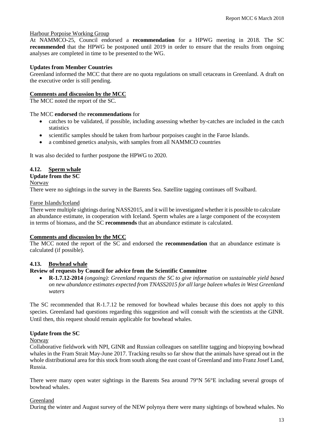## Harbour Porpoise Working Group

At NAMMCO-25, Council endorsed a **recommendation** for a HPWG meeting in 2018. The SC **recommended** that the HPWG be postponed until 2019 in order to ensure that the results from ongoing analyses are completed in time to be presented to the WG.

## **Updates from Member Countries**

Greenland informed the MCC that there are no quota regulations on small cetaceans in Greenland. A draft on the executive order is still pending.

## **Comments and discussion by the MCC**

The MCC noted the report of the SC.

## The MCC **endorsed** the **recommendations** for

- catches to be validated, if possible, including assessing whether by-catches are included in the catch statistics
- scientific samples should be taken from harbour porpoises caught in the Faroe Islands.
- a combined genetics analysis, with samples from all NAMMCO countries

It was also decided to further postpone the HPWG to 2020.

## **4.12. Sperm whale**

## **Update from the SC**

#### Norway

There were no sightings in the survey in the Barents Sea. Satellite tagging continues off Svalbard.

#### Faroe Islands/Iceland

There were multiple sightings during NASS2015, and it will be investigated whether it is possible to calculate an abundance estimate, in cooperation with Iceland. Sperm whales are a large component of the ecosystem in terms of biomass, and the SC **recommends** that an abundance estimate is calculated.

## **Comments and discussion by the MCC**

The MCC noted the report of the SC and endorsed the **recommendation** that an abundance estimate is calculated (if possible).

## **4.13. Bowhead whale**

## **Review of requests by Council for advice from the Scientific Committee**

• **R-1.7.12-2014** *(ongoing): Greenland requests the SC to give information on sustainable yield based on new abundance estimates expected from TNASS2015 for all large baleen whales in West Greenland waters* 

The SC recommended that R-1.7.12 be removed for bowhead whales because this does not apply to this species. Greenland had questions regarding this suggestion and will consult with the scientists at the GINR. Until then, this request should remain applicable for bowhead whales.

## **Update from the SC**

## Norway

Collaborative fieldwork with NPI, GINR and Russian colleagues on satellite tagging and biopsying bowhead whales in the Fram Strait May-June 2017. Tracking results so far show that the animals have spread out in the whole distributional area for this stock from south along the east coast of Greenland and into Franz Josef Land, Russia.

There were many open water sightings in the Barents Sea around 79°N 56°E including several groups of bowhead whales.

## Greenland

During the winter and August survey of the NEW polynya there were many sightings of bowhead whales. No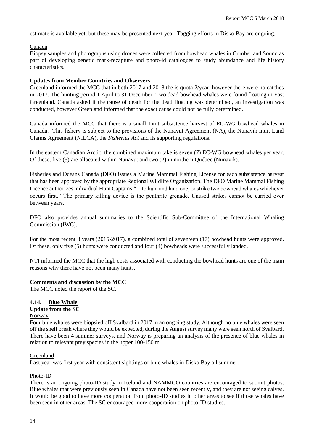estimate is available yet, but these may be presented next year. Tagging efforts in Disko Bay are ongoing.

## Canada

Biopsy samples and photographs using drones were collected from bowhead whales in Cumberland Sound as part of developing genetic mark-recapture and photo-id catalogues to study abundance and life history characteristics.

## **Updates from Member Countries and Observers**

Greenland informed the MCC that in both 2017 and 2018 the is quota 2/year, however there were no catches in 2017. The hunting period 1 April to 31 December. Two dead bowhead whales were found floating in East Greenland. Canada asked if the cause of death for the dead floating was determined, an investigation was conducted, however Greenland informed that the exact cause could not be fully determined.

Canada informed the MCC that there is a small Inuit subsistence harvest of EC-WG bowhead whales in Canada. This fishery is subject to the provisions of the Nunavut Agreement (NA), the Nunavik Inuit Land Claims Agreement (NILCA), the *Fisheries Act* and its supporting regulations.

In the eastern Canadian Arctic, the combined maximum take is seven (7) EC-WG bowhead whales per year. Of these, five (5) are allocated within Nunavut and two (2) in northern Québec (Nunavik).

Fisheries and Oceans Canada (DFO) issues a Marine Mammal Fishing License for each subsistence harvest that has been approved by the appropriate Regional Wildlife Organization. The DFO Marine Mammal Fishing Licence authorizes individual Hunt Captains "…to hunt and land one, or strike two bowhead whales whichever occurs first." The primary killing device is the penthrite grenade. Unused strikes cannot be carried over between years.

DFO also provides annual summaries to the Scientific Sub-Committee of the International Whaling Commission (IWC).

For the most recent 3 years (2015-2017), a combined total of seventeen (17) bowhead hunts were approved. Of these, only five (5) hunts were conducted and four (4) bowheads were successfully landed.

NTI informed the MCC that the high costs associated with conducting the bowhead hunts are one of the main reasons why there have not been many hunts.

## **Comments and discussion by the MCC**

The MCC noted the report of the SC.

## **4.14. Blue Whale**

# **Update from the SC**

#### Norway

Four blue whales were biopsied off Svalbard in 2017 in an ongoing study. Although no blue whales were seen off the shelf break where they would be expected, during the August survey many were seen north of Svalbard. There have been 4 summer surveys, and Norway is preparing an analysis of the presence of blue whales in relation to relevant prey species in the upper 100-150 m.

## Greenland

Last year was first year with consistent sightings of blue whales in Disko Bay all summer.

## Photo-ID

There is an ongoing photo-ID study in Iceland and NAMMCO countries are encouraged to submit photos. Blue whales that were previously seen in Canada have not been seen recently, and they are not seeing calves. It would be good to have more cooperation from photo-ID studies in other areas to see if those whales have been seen in other areas. The SC encouraged more cooperation on photo-ID studies.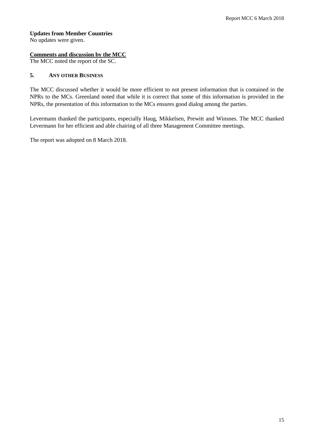## **Updates from Member Countries**

No updates were given.

## **Comments and discussion by the MCC**

The MCC noted the report of the SC.

## **5. ANY OTHER BUSINESS**

The MCC discussed whether it would be more efficient to not present information that is contained in the NPRs to the MCs. Greenland noted that while it is correct that some of this information is provided in the NPRs, the presentation of this information to the MCs ensures good dialog among the parties.

Levermann thanked the participants, especially Haug, Mikkelsen, Prewitt and Winsnes. The MCC thanked Levermann for her efficient and able chairing of all three Management Committee meetings.

The report was adopted on 8 March 2018.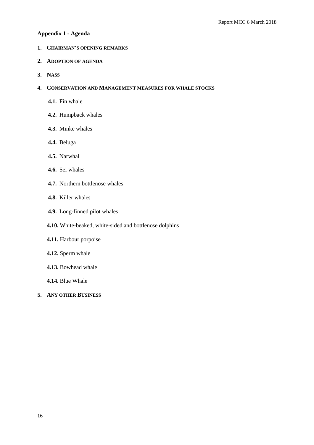## **Appendix 1 - Agenda**

- **1. CHAIRMAN'S OPENING REMARKS**
- **2. ADOPTION OF AGENDA**
- **3. NASS**

## **4. CONSERVATION AND MANAGEMENT MEASURES FOR WHALE STOCKS**

- **4.1.** Fin whale
- **4.2.** Humpback whales
- **4.3.** Minke whales
- **4.4.** Beluga
- **4.5.** Narwhal
- **4.6.** Sei whales
- **4.7.** Northern bottlenose whales
- **4.8.** Killer whales
- **4.9.** Long-finned pilot whales
- **4.10.** White-beaked, white-sided and bottlenose dolphins
- **4.11.** Harbour porpoise
- **4.12.** Sperm whale
- **4.13.** Bowhead whale
- **4.14.** Blue Whale
- **5. ANY OTHER BUSINESS**